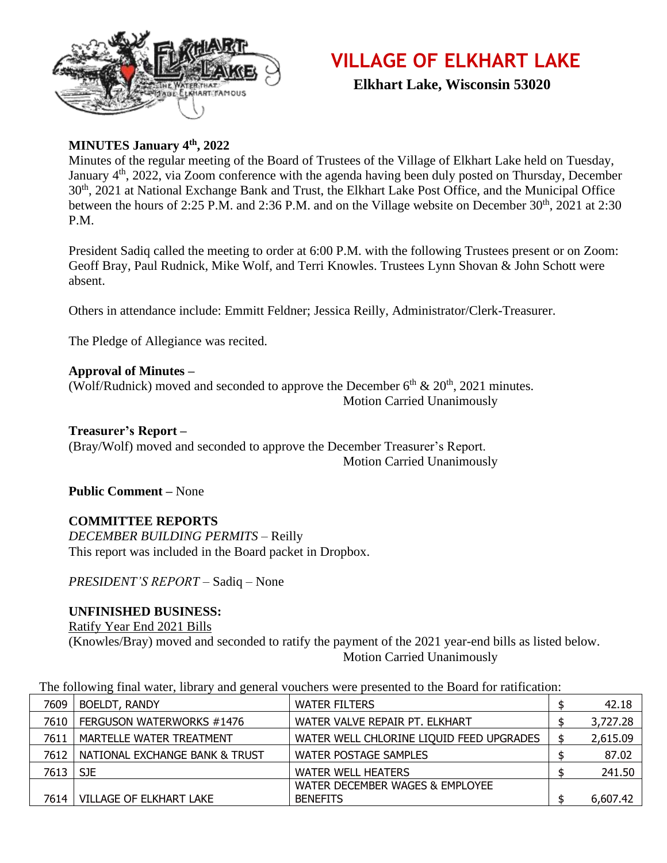

### **VILLAGE OF ELKHART LAKE**

 **Elkhart Lake, Wisconsin 53020**

#### **MINUTES January 4th, 2022**

Minutes of the regular meeting of the Board of Trustees of the Village of Elkhart Lake held on Tuesday, January 4<sup>th</sup>, 2022, via Zoom conference with the agenda having been duly posted on Thursday, December 30<sup>th</sup>, 2021 at National Exchange Bank and Trust, the Elkhart Lake Post Office, and the Municipal Office between the hours of 2:25 P.M. and 2:36 P.M. and on the Village website on December  $30<sup>th</sup>$ , 2021 at 2:30 P.M.

President Sadiq called the meeting to order at 6:00 P.M. with the following Trustees present or on Zoom: Geoff Bray, Paul Rudnick, Mike Wolf, and Terri Knowles. Trustees Lynn Shovan & John Schott were absent.

Others in attendance include: Emmitt Feldner; Jessica Reilly, Administrator/Clerk-Treasurer.

The Pledge of Allegiance was recited.

#### **Approval of Minutes –** (Wolf/Rudnick) moved and seconded to approve the December  $6<sup>th</sup>$  &  $20<sup>th</sup>$ , 2021 minutes. Motion Carried Unanimously

#### **Treasurer's Report –**

(Bray/Wolf) moved and seconded to approve the December Treasurer's Report. Motion Carried Unanimously

**Public Comment –** None

#### **COMMITTEE REPORTS**

*DECEMBER BUILDING PERMITS –* Reilly This report was included in the Board packet in Dropbox.

*PRESIDENT'S REPORT –* Sadiq – None

#### **UNFINISHED BUSINESS:**

Ratify Year End 2021 Bills (Knowles/Bray) moved and seconded to ratify the payment of the 2021 year-end bills as listed below. Motion Carried Unanimously

| The following final water, library and general vouchers were presented to the Board for ratification: |  |  |
|-------------------------------------------------------------------------------------------------------|--|--|
|-------------------------------------------------------------------------------------------------------|--|--|

| 7609       | <b>BOELDT, RANDY</b>           | <b>WATER FILTERS</b>                     | 42.18    |
|------------|--------------------------------|------------------------------------------|----------|
| 7610       | FERGUSON WATERWORKS #1476      | WATER VALVE REPAIR PT. ELKHART           | 3,727.28 |
| 7611       | MARTELLE WATER TREATMENT       | WATER WELL CHLORINE LIQUID FEED UPGRADES | 2,615.09 |
| 7612 I     | NATIONAL EXCHANGE BANK & TRUST | WATER POSTAGE SAMPLES                    | 87.02    |
| 7613   SJE |                                | <b>WATER WELL HEATERS</b>                | 241.50   |
|            |                                | WATER DECEMBER WAGES & EMPLOYEE          |          |
| 7614       | <b>VILLAGE OF ELKHART LAKE</b> | <b>BENEFITS</b>                          | 6,607.42 |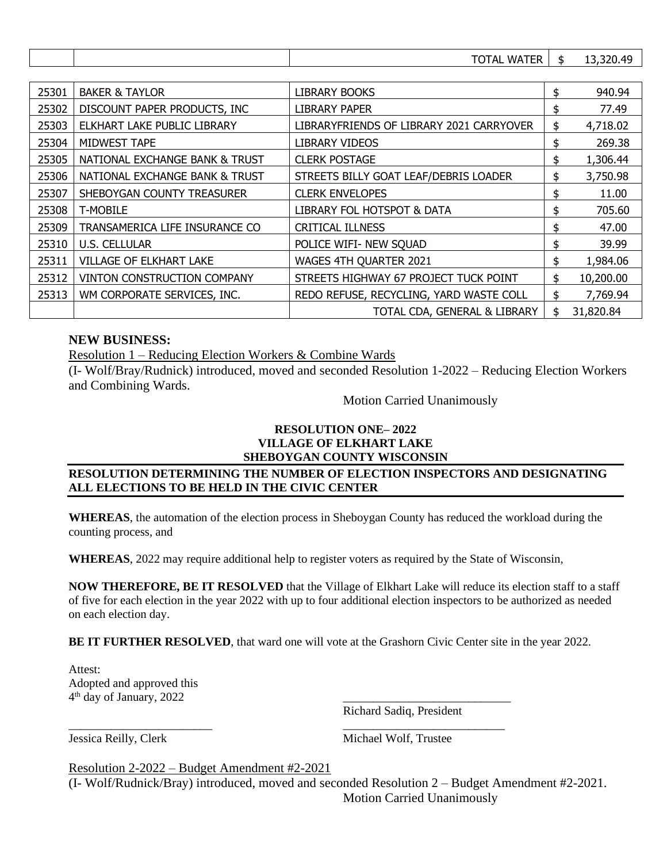|  | $ -$<br>$\mathbf{v}$ | חר<br>лι<br>. |
|--|----------------------|---------------|
|  |                      |               |

| 25301 | <b>BAKER &amp; TAYLOR</b>          | LIBRARY BOOKS                            | \$  | 940.94    |
|-------|------------------------------------|------------------------------------------|-----|-----------|
| 25302 | DISCOUNT PAPER PRODUCTS, INC       | <b>LIBRARY PAPER</b>                     | \$  | 77.49     |
| 25303 | ELKHART LAKE PUBLIC LIBRARY        | LIBRARYFRIENDS OF LIBRARY 2021 CARRYOVER | \$  | 4,718.02  |
| 25304 | MIDWEST TAPE                       | LIBRARY VIDEOS                           | \$  | 269.38    |
| 25305 | NATIONAL EXCHANGE BANK & TRUST     | <b>CLERK POSTAGE</b>                     | \$  | 1,306.44  |
| 25306 | NATIONAL EXCHANGE BANK & TRUST     | STREETS BILLY GOAT LEAF/DEBRIS LOADER    | \$  | 3,750.98  |
| 25307 | SHEBOYGAN COUNTY TREASURER         | <b>CLERK ENVELOPES</b>                   | \$  | 11.00     |
| 25308 | <b>T-MOBILE</b>                    | LIBRARY FOL HOTSPOT & DATA               | \$  | 705.60    |
| 25309 | TRANSAMERICA LIFE INSURANCE CO     | CRITICAL ILLNESS                         | \$  | 47.00     |
| 25310 | <b>U.S. CELLULAR</b>               | POLICE WIFI- NEW SQUAD                   | \$  | 39.99     |
| 25311 | <b>VILLAGE OF ELKHART LAKE</b>     | WAGES 4TH QUARTER 2021                   | \$. | 1,984.06  |
| 25312 | <b>VINTON CONSTRUCTION COMPANY</b> | STREETS HIGHWAY 67 PROJECT TUCK POINT    | \$  | 10,200.00 |
| 25313 | WM CORPORATE SERVICES, INC.        | REDO REFUSE, RECYCLING, YARD WASTE COLL  | \$  | 7,769.94  |
|       |                                    | TOTAL CDA, GENERAL & LIBRARY             | \$  | 31,820.84 |

#### **NEW BUSINESS:**

Resolution 1 – Reducing Election Workers & Combine Wards

(I- Wolf/Bray/Rudnick) introduced, moved and seconded Resolution 1-2022 – Reducing Election Workers and Combining Wards.

Motion Carried Unanimously

#### **RESOLUTION ONE– 2022 VILLAGE OF ELKHART LAKE SHEBOYGAN COUNTY WISCONSIN**

#### **RESOLUTION DETERMINING THE NUMBER OF ELECTION INSPECTORS AND DESIGNATING ALL ELECTIONS TO BE HELD IN THE CIVIC CENTER**

**WHEREAS**, the automation of the election process in Sheboygan County has reduced the workload during the counting process, and

**WHEREAS**, 2022 may require additional help to register voters as required by the State of Wisconsin,

**NOW THEREFORE, BE IT RESOLVED** that the Village of Elkhart Lake will reduce its election staff to a staff of five for each election in the year 2022 with up to four additional election inspectors to be authorized as needed on each election day.

**BE IT FURTHER RESOLVED**, that ward one will vote at the Grashorn Civic Center site in the year 2022.

\_\_\_\_\_\_\_\_\_\_\_\_\_\_\_\_\_\_\_\_\_\_\_\_ \_\_\_\_\_\_\_\_\_\_\_\_\_\_\_\_\_\_\_\_\_\_\_\_\_\_\_

Attest: Adopted and approved this  $4<sup>th</sup>$  day of January, 2022  $\qquad \qquad \qquad$ 

Richard Sadiq, President

Jessica Reilly, Clerk Michael Wolf, Trustee

Resolution 2-2022 – Budget Amendment #2-2021

(I- Wolf/Rudnick/Bray) introduced, moved and seconded Resolution 2 – Budget Amendment #2-2021. Motion Carried Unanimously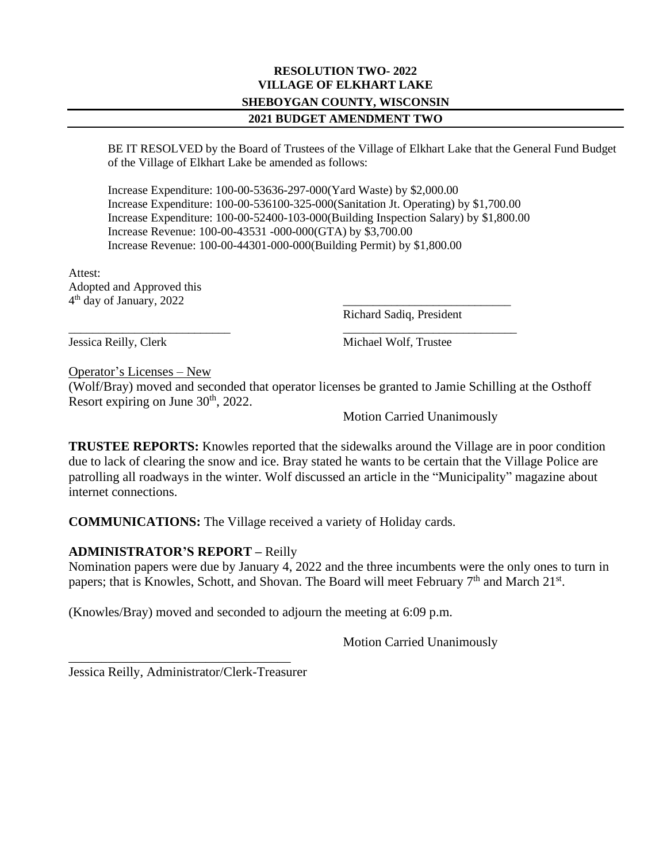#### **RESOLUTION TWO- 2022 VILLAGE OF ELKHART LAKE SHEBOYGAN COUNTY, WISCONSIN 2021 BUDGET AMENDMENT TWO**

BE IT RESOLVED by the Board of Trustees of the Village of Elkhart Lake that the General Fund Budget of the Village of Elkhart Lake be amended as follows:

Increase Expenditure: 100-00-53636-297-000(Yard Waste) by \$2,000.00 Increase Expenditure: 100-00-536100-325-000(Sanitation Jt. Operating) by \$1,700.00 Increase Expenditure: 100-00-52400-103-000(Building Inspection Salary) by \$1,800.00 Increase Revenue: 100-00-43531 -000-000(GTA) by \$3,700.00 Increase Revenue: 100-00-44301-000-000(Building Permit) by \$1,800.00

Attest: Adopted and Approved this  $4<sup>th</sup>$  day of January, 2022  $\qquad \qquad \qquad$ 

Richard Sadiq, President

\_\_\_\_\_\_\_\_\_\_\_\_\_\_\_\_\_\_\_\_\_\_\_\_\_\_\_ \_\_\_\_\_\_\_\_\_\_\_\_\_\_\_\_\_\_\_\_\_\_\_\_\_\_\_\_\_ Jessica Reilly, Clerk Michael Wolf, Trustee

Operator's Licenses – New

(Wolf/Bray) moved and seconded that operator licenses be granted to Jamie Schilling at the Osthoff Resort expiring on June  $30<sup>th</sup>$ , 2022.

Motion Carried Unanimously

**TRUSTEE REPORTS:** Knowles reported that the sidewalks around the Village are in poor condition due to lack of clearing the snow and ice. Bray stated he wants to be certain that the Village Police are patrolling all roadways in the winter. Wolf discussed an article in the "Municipality" magazine about internet connections.

**COMMUNICATIONS:** The Village received a variety of Holiday cards.

#### **ADMINISTRATOR'S REPORT –** Reilly

Nomination papers were due by January 4, 2022 and the three incumbents were the only ones to turn in papers; that is Knowles, Schott, and Shovan. The Board will meet February  $7<sup>th</sup>$  and March  $21<sup>st</sup>$ .

(Knowles/Bray) moved and seconded to adjourn the meeting at 6:09 p.m.

Motion Carried Unanimously

Jessica Reilly, Administrator/Clerk-Treasurer

\_\_\_\_\_\_\_\_\_\_\_\_\_\_\_\_\_\_\_\_\_\_\_\_\_\_\_\_\_\_\_\_\_\_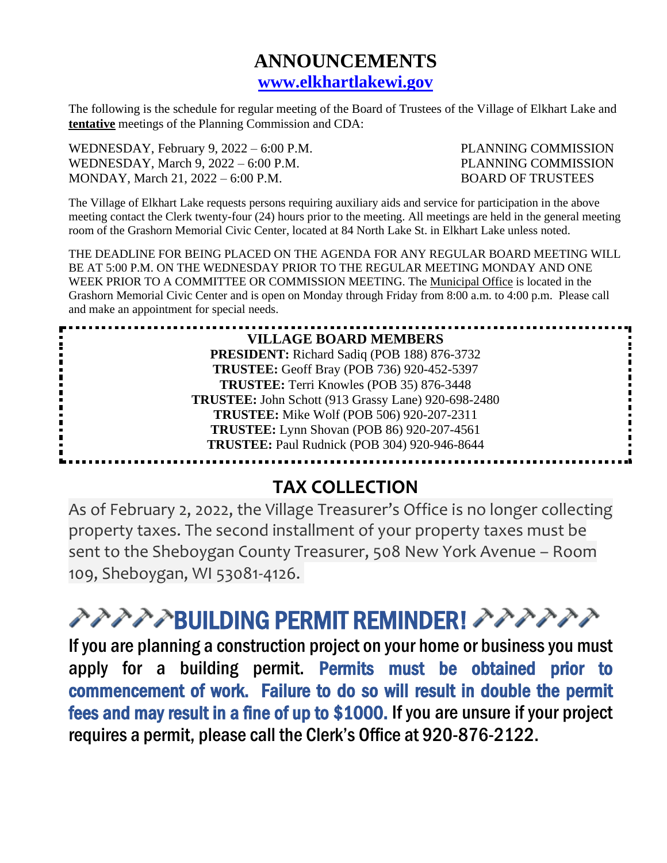### **ANNOUNCEMENTS [www.elkhartlakewi.gov](http://www.elkhartlakewi.gov/)**

The following is the schedule for regular meeting of the Board of Trustees of the Village of Elkhart Lake and **tentative** meetings of the Planning Commission and CDA:

WEDNESDAY, February 9, 2022 – 6:00 P.M. PLANNING COMMISSION WEDNESDAY, March 9, 2022 – 6:00 P.M. PLANNING COMMISSION MONDAY, March 21, 2022 – 6:00 P.M. BOARD OF TRUSTEES

í

The Village of Elkhart Lake requests persons requiring auxiliary aids and service for participation in the above meeting contact the Clerk twenty-four (24) hours prior to the meeting. All meetings are held in the general meeting room of the Grashorn Memorial Civic Center, located at 84 North Lake St. in Elkhart Lake unless noted.

THE DEADLINE FOR BEING PLACED ON THE AGENDA FOR ANY REGULAR BOARD MEETING WILL BE AT 5:00 P.M. ON THE WEDNESDAY PRIOR TO THE REGULAR MEETING MONDAY AND ONE WEEK PRIOR TO A COMMITTEE OR COMMISSION MEETING. The Municipal Office is located in the Grashorn Memorial Civic Center and is open on Monday through Friday from 8:00 a.m. to 4:00 p.m. Please call and make an appointment for special needs.

> **VILLAGE BOARD MEMBERS PRESIDENT:** Richard Sadiq (POB 188) 876-3732 **TRUSTEE:** Geoff Bray (POB 736) 920-452-5397 **TRUSTEE:** Terri Knowles (POB 35) 876-3448 **TRUSTEE:** John Schott (913 Grassy Lane) 920-698-2480 **TRUSTEE:** Mike Wolf (POB 506) 920-207-2311 **TRUSTEE:** Lynn Shovan (POB 86) 920-207-4561 **TRUSTEE:** Paul Rudnick (POB 304) 920-946-8644

## **TAX COLLECTION**

As of February 2, 2022, the Village Treasurer's Office is no longer collecting property taxes. The second installment of your property taxes must be sent to the Sheboygan County Treasurer, 508 New York Avenue – Room 109, Sheboygan, WI 53081-4126.

# クァブアプBUILDING PERMIT REMINDER! アアアアアプ

If you are planning a construction project on your home or business you must apply for a building permit. Permits must be obtained prior to commencement of work. Failure to do so will result in double the permit fees and may result in a fine of up to \$1000. If you are unsure if your project requires a permit, please call the Clerk's Office at 920-876-2122.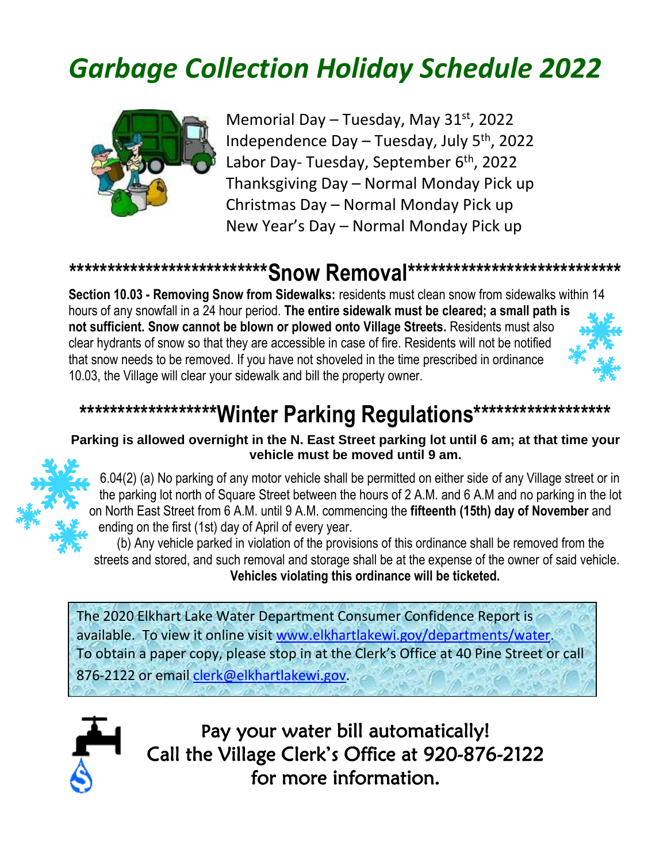# *Garbage Collection Holiday Schedule 2022*



Memorial Day – Tuesday, May  $31<sup>st</sup>$ , 2022 Independence Day – Tuesday, July  $5<sup>th</sup>$ , 2022 Labor Day- Tuesday, September 6<sup>th</sup>, 2022 Thanksgiving Day – Normal Monday Pick up Christmas Day – Normal Monday Pick up New Year's Day – Normal Monday Pick up

### **\*\*\*\*\*\*\*\*\*\*\*\*\*\*\*\*\*\*\*\*\*\*\*\*\*\*Snow Removal\*\*\*\*\*\*\*\*\*\*\*\*\*\*\*\*\*\*\*\*\*\*\*\*\*\*\*\***

**Section 10.03 - Removing Snow from Sidewalks:** residents must clean snow from sidewalks within 14 hours of any snowfall in a 24 hour period. **The entire sidewalk must be cleared; a small path is not sufficient. Snow cannot be blown or plowed onto Village Streets.** Residents must also clear hydrants of snow so that they are accessible in case of fire. Residents will not be notified that snow needs to be removed. If you have not shoveled in the time prescribed in ordinance 10.03, the Village will clear your sidewalk and bill the property owner.



## \*\*\*\*\*\*\*\*\*\*\*\*\*\*\*\*\*\*\*\*Winter Parking Regulations\*\*\*\*\*\*\*\*\*\*\*\*\*\*\*\*\*\*\*\*

#### **Parking is allowed overnight in the N. East Street parking lot until 6 am; at that time your vehicle must be moved until 9 am.**



6.04(2) (a) No parking of any motor vehicle shall be permitted on either side of any Village street or in the parking lot north of Square Street between the hours of 2 A.M. and 6 A.M and no parking in the lot on North East Street from 6 A.M. until 9 A.M. commencing the **fifteenth (15th) day of November** and ending on the first (1st) day of April of every year.

(b) Any vehicle parked in violation of the provisions of this ordinance shall be removed from the streets and stored, and such removal and storage shall be at the expense of the owner of said vehicle. **Vehicles violating this ordinance will be ticketed.**

The 2020 Elkhart Lake Water Department Consumer Confidence Report is available. To view it online visit www.elkhartlakewi.gov/departments/water. To obtain a paper copy, please stop in at the Clerk's Office at 40 Pine Street or call 876-2122 or email [clerk@elkhartlakewi.gov.](mailto:clerk@elkhartlakewi.gov)



Pay your water bill automatically! Call the Village Clerk's Office at 920-876-2122 for more information.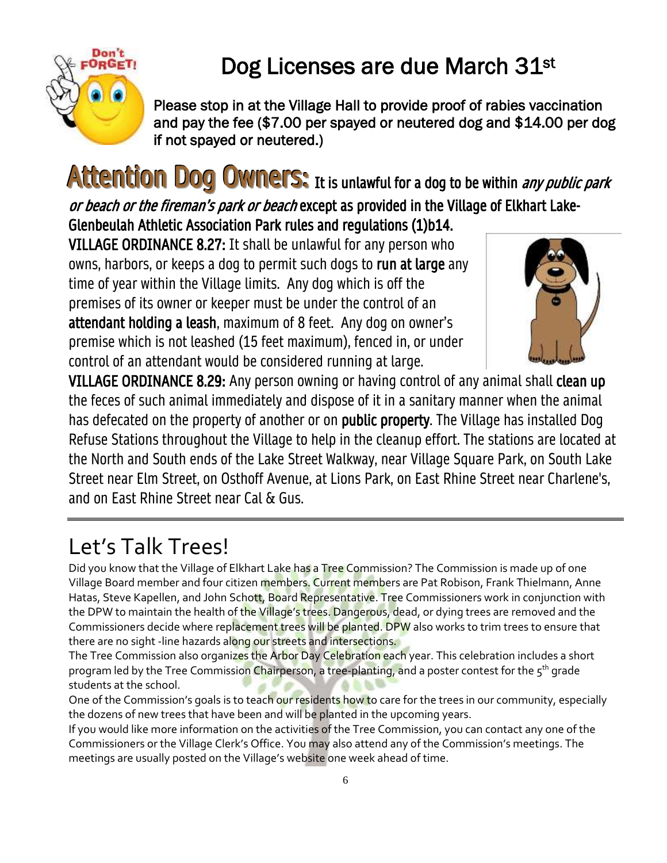

## Dog Licenses are due March 31st

Please stop in at the Village Hall to provide proof of rabies vaccination and pay the fee (\$7.00 per spayed or neutered dog and \$14.00 per dog if not spayed or neutered.)

Attention Dog Owners: It is unlawful for a dog to be within *any public park* or beach or the fireman's park or beach except as provided in the Village of Elkhart Lake-

Glenbeulah Athletic Association Park rules and regulations (1)b14.

VILLAGE ORDINANCE 8.27: It shall be unlawful for any person who owns, harbors, or keeps a dog to permit such dogs to run at large any time of year within the Village limits. Any dog which is off the premises of its owner or keeper must be under the control of an attendant holding a leash, maximum of 8 feet. Any dog on owner's premise which is not leashed (15 feet maximum), fenced in, or under control of an attendant would be considered running at large.



VILLAGE ORDINANCE 8.29: Any person owning or having control of any animal shall clean up the feces of such animal immediately and dispose of it in a sanitary manner when the animal has defecated on the property of another or on public property. The Village has installed Dog Refuse Stations throughout the Village to help in the cleanup effort. The stations are located at the North and South ends of the Lake Street Walkway, near Village Square Park, on South Lake Street near Elm Street, on Osthoff Avenue, at Lions Park, on East Rhine Street near Charlene's, and on East Rhine Street near Cal & Gus.

## Let's Talk Trees!

Did you know that the Village of Elkhart Lake has a Tree Commission? The Commission is made up of one Village Board member and four citizen members. Current members are Pat Robison, Frank Thielmann, Anne Hatas, Steve Kapellen, and John Schott, Board Representative. Tree Commissioners work in conjunction with the DPW to maintain the health of the Village's trees. Dangerous, dead, or dying trees are removed and the Commissioners decide where replacement trees will be planted. DPW also works to trim trees to ensure that there are no sight -line hazards along our streets and intersections.

The Tree Commission also organizes the Arbor Day Celebration each year. This celebration includes a short program led by the Tree Commission Chairperson, a tree-planting, and a poster contest for the 5<sup>th</sup> grade students at the school.

One of the Commission's goals is to teach our residents how to care for the trees in our community, especially the dozens of new trees that have been and will be planted in the upcoming years.

If you would like more information on the activities of the Tree Commission, you can contact any one of the Commissioners or the Village Clerk's Office. You may also attend any of the Commission's meetings. The meetings are usually posted on the Village's website one week ahead of time.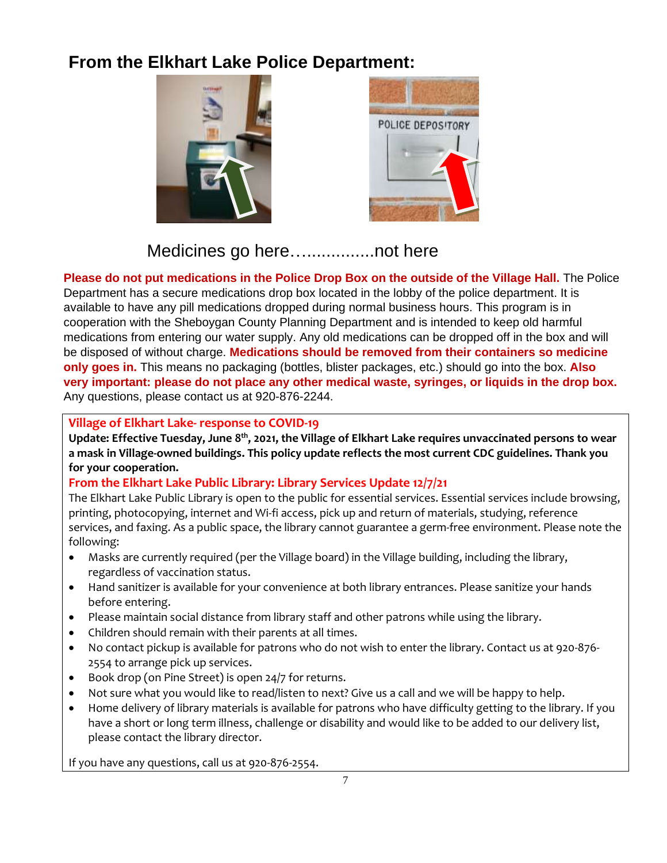### **From the Elkhart Lake Police Department:**





Medicines go here…..............not here

**Please do not put medications in the Police Drop Box on the outside of the Village Hall.** The Police Department has a secure medications drop box located in the lobby of the police department. It is available to have any pill medications dropped during normal business hours. This program is in cooperation with the Sheboygan County Planning Department and is intended to keep old harmful medications from entering our water supply. Any old medications can be dropped off in the box and will be disposed of without charge. **Medications should be removed from their containers so medicine only goes in.** This means no packaging (bottles, blister packages, etc.) should go into the box. **Also very important: please do not place any other medical waste, syringes, or liquids in the drop box.** Any questions, please contact us at 920-876-2244.

#### **Village of Elkhart Lake- response to COVID-19**

**Update: Effective Tuesday, June 8 th, 2021, the Village of Elkhart Lake requires unvaccinated persons to wear a mask in Village-owned buildings. This policy update reflects the most current CDC guidelines. Thank you for your cooperation.**

#### **From the Elkhart Lake Public Library: Library Services Update 12/7/21**

The Elkhart Lake Public Library is open to the public for essential services. Essential services include browsing, printing, photocopying, internet and Wi-fi access, pick up and return of materials, studying, reference services, and faxing. As a public space, the library cannot guarantee a germ-free environment. Please note the following:

- Masks are currently required (per the Village board) in the Village building, including the library, regardless of vaccination status.
- Hand sanitizer is available for your convenience at both library entrances. Please sanitize your hands before entering.
- Please maintain social distance from library staff and other patrons while using the library.
- Children should remain with their parents at all times.
- No contact pickup is available for patrons who do not wish to enter the library. Contact us at 920-876- 2554 to arrange pick up services.
- Book drop (on Pine Street) is open 24/7 for returns.
- Not sure what you would like to read/listen to next? Give us a call and we will be happy to help.
- Home delivery of library materials is available for patrons who have difficulty getting to the library. If you have a short or long term illness, challenge or disability and would like to be added to our delivery list, please contact the library director.

If you have any questions, call us at 920-876-2554.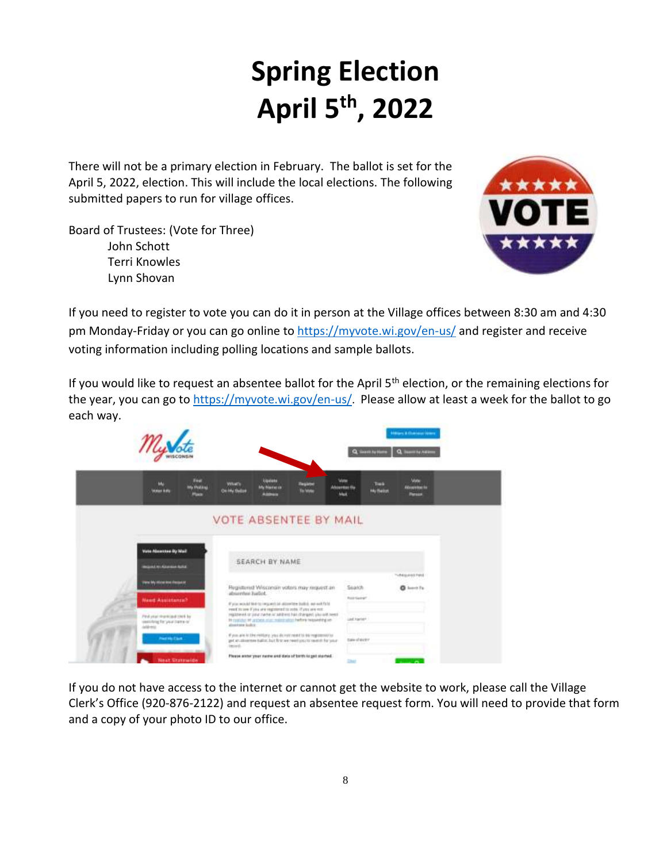# **Spring Election April 5 th, 2022**

There will not be a primary election in February. The ballot is set for the April 5, 2022, election. This will include the local elections. The following submitted papers to run for village offices.

Board of Trustees: (Vote for Three) John Schott Terri Knowles Lynn Shovan



If you need to register to vote you can do it in person at the Village offices between 8:30 am and 4:30 pm Monday-Friday or you can go online to<https://myvote.wi.gov/en-us/> and register and receive voting information including polling locations and sample ballots.

If you would like to request an absentee ballot for the April  $5<sup>th</sup>$  election, or the remaining elections for the year, you can go to<https://myvote.wi.gov/en-us/>. Please allow at least a week for the ballot to go each way.

|                                                                           |                                                      |                         |                                                                   |                                                                                                                                       | <b>Interary &amp; Chairman Venera</b><br>Q. Semivities<br>Q. New N.N. |                            |                                       |  |
|---------------------------------------------------------------------------|------------------------------------------------------|-------------------------|-------------------------------------------------------------------|---------------------------------------------------------------------------------------------------------------------------------------|-----------------------------------------------------------------------|----------------------------|---------------------------------------|--|
| MV.<br>Volunt Aufur                                                       | and in<br>Fed.<br><b>My Politici</b><br><b>Place</b> | Witat's<br>On My Baltin | <b>Update</b><br><b>My Name of</b><br>Astrono                     | Fingleton<br>To Well                                                                                                                  | <b><i>Lista</i></b><br>Absorber fla<br>Mail                           | Total<br><b>Hy fleitet</b> | Mate<br>Abuse the fa<br><b>Parsus</b> |  |
|                                                                           |                                                      |                         |                                                                   | VOTE ABSENTEE BY MAIL                                                                                                                 |                                                                       |                            |                                       |  |
| <b>Vote Absence By Mail</b>                                               |                                                      |                         |                                                                   |                                                                                                                                       |                                                                       |                            |                                       |  |
| <b>Included Art Alexander Roller</b>                                      |                                                      |                         | <b>Constitution of the United States</b><br><b>SEARCH BY NAME</b> |                                                                                                                                       |                                                                       |                            |                                       |  |
| Vans My Minister Records                                                  |                                                      |                         |                                                                   |                                                                                                                                       |                                                                       |                            | Tubbished Pand                        |  |
|                                                                           |                                                      |                         | Registered Wisconsin voters may missest an                        |                                                                                                                                       |                                                                       |                            |                                       |  |
|                                                                           |                                                      |                         |                                                                   |                                                                                                                                       | Search                                                                |                            | $0$ lower $T_V$                       |  |
| Need Assistance?                                                          |                                                      | absorpter Earliet.      |                                                                   | bil bin strip an                                                                                                                      | <b>REAL GALLANT</b>                                                   |                            |                                       |  |
|                                                                           |                                                      |                         | eart to see if you are registered to solic. If you are not.       | If you would like to request on absorber boths, we well field                                                                         |                                                                       |                            |                                       |  |
| Pind year charecaled treet. by<br>seatching for your clame or<br>interest |                                                      | glassings looks:        |                                                                   | registered or paix rache or address has charged, plu-self need-<br>In cyclides of aspira and maintenance building to apply of         | List Harter                                                           |                            |                                       |  |
| Port His Clark                                                            |                                                      | record.                 |                                                                   | If you, and in the rental y you do not rest to be registered to<br>get an allowered ballot. but first we reed until to entit for your | bay shinding<br>MAY 12                                                |                            |                                       |  |

If you do not have access to the internet or cannot get the website to work, please call the Village Clerk's Office (920-876-2122) and request an absentee request form. You will need to provide that form and a copy of your photo ID to our office.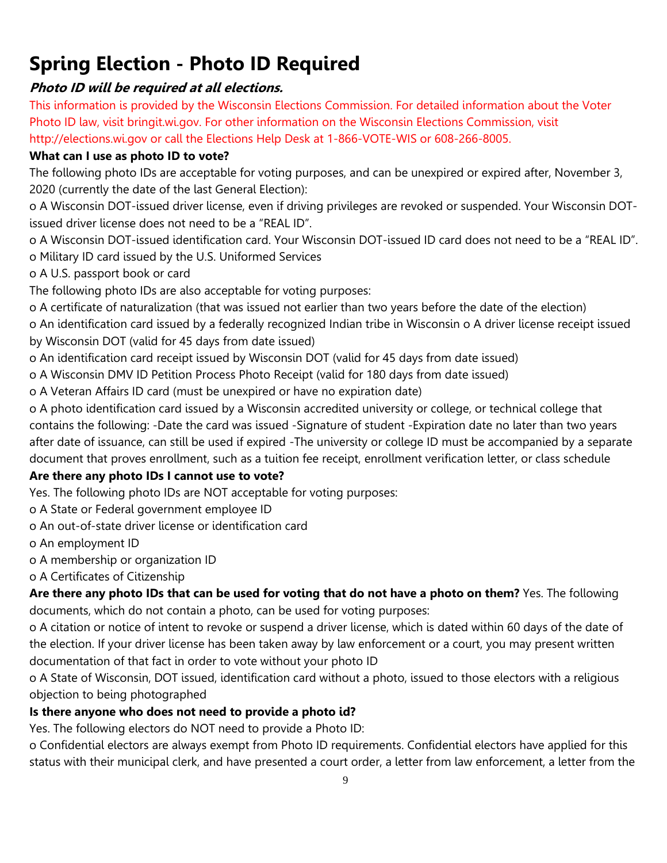## **Spring Election - Photo ID Required**

#### **Photo ID will be required at all elections.**

This information is provided by the Wisconsin Elections Commission. For detailed information about the Voter Photo ID law, visit bringit.wi.gov. For other information on the Wisconsin Elections Commission, visit http://elections.wi.gov or call the Elections Help Desk at 1-866-VOTE-WIS or 608-266-8005.

#### **What can I use as photo ID to vote?**

The following photo IDs are acceptable for voting purposes, and can be unexpired or expired after, November 3, 2020 (currently the date of the last General Election):

o A Wisconsin DOT-issued driver license, even if driving privileges are revoked or suspended. Your Wisconsin DOTissued driver license does not need to be a "REAL ID".

o A Wisconsin DOT-issued identification card. Your Wisconsin DOT-issued ID card does not need to be a "REAL ID". o Military ID card issued by the U.S. Uniformed Services

o A U.S. passport book or card

The following photo IDs are also acceptable for voting purposes:

o A certificate of naturalization (that was issued not earlier than two years before the date of the election)

o An identification card issued by a federally recognized Indian tribe in Wisconsin o A driver license receipt issued by Wisconsin DOT (valid for 45 days from date issued)

o An identification card receipt issued by Wisconsin DOT (valid for 45 days from date issued)

o A Wisconsin DMV ID Petition Process Photo Receipt (valid for 180 days from date issued)

o A Veteran Affairs ID card (must be unexpired or have no expiration date)

o A photo identification card issued by a Wisconsin accredited university or college, or technical college that contains the following: -Date the card was issued -Signature of student -Expiration date no later than two years after date of issuance, can still be used if expired -The university or college ID must be accompanied by a separate document that proves enrollment, such as a tuition fee receipt, enrollment verification letter, or class schedule

#### **Are there any photo IDs I cannot use to vote?**

Yes. The following photo IDs are NOT acceptable for voting purposes:

o A State or Federal government employee ID

o An out-of-state driver license or identification card

o An employment ID

o A membership or organization ID

o A Certificates of Citizenship

**Are there any photo IDs that can be used for voting that do not have a photo on them?** Yes. The following documents, which do not contain a photo, can be used for voting purposes:

o A citation or notice of intent to revoke or suspend a driver license, which is dated within 60 days of the date of the election. If your driver license has been taken away by law enforcement or a court, you may present written documentation of that fact in order to vote without your photo ID

o A State of Wisconsin, DOT issued, identification card without a photo, issued to those electors with a religious objection to being photographed

#### **Is there anyone who does not need to provide a photo id?**

Yes. The following electors do NOT need to provide a Photo ID:

o Confidential electors are always exempt from Photo ID requirements. Confidential electors have applied for this status with their municipal clerk, and have presented a court order, a letter from law enforcement, a letter from the